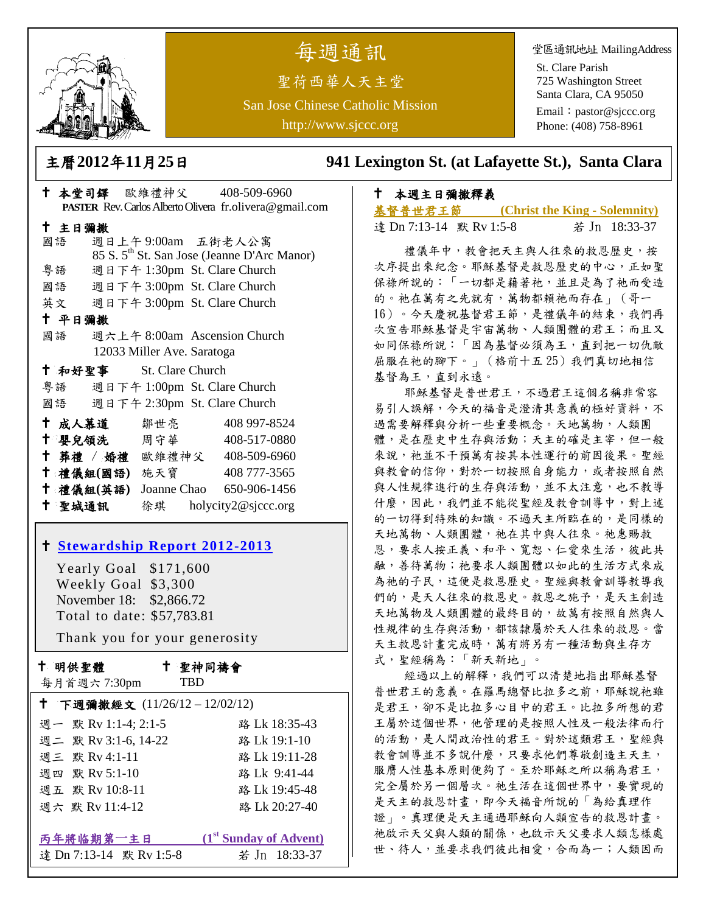

# 每週通訊

聖荷西華人天主堂 San Jose Chinese Catholic Mission http://www.sjccc.org

堂區通訊地址 MailingAddress

St. Clare Parish 725 Washington Street Santa Clara, CA 95050

Email: [pastor@sjccc.org](mailto:pastor@sjccc.org) Phone: (408) 758-8961

主曆**2012**年**11**月**25**日 **941 Lexington St. (at Lafayette St.), Santa Clara** 

# 本週主日彌撒釋義

| 基督普世君王節                 | (Christ the King - Solemnity) |               |
|-------------------------|-------------------------------|---------------|
| 達 Dn 7:13-14 默 Rv 1:5-8 |                               | 若 Jn 18:33-37 |

 禮儀年中,教會把天主與人往來的救恩歷史,按 次序提出來紀念。耶穌基督是救恩歷史的中心,正如聖 保祿所說的:「一切都是藉著祂,並且是為了祂而受造 的。祂在萬有之先就有,萬物都賴祂而存在」(哥一 16)。今天慶祝基督君王節,是禮儀年的結束,我們再 次宣告耶穌基督是宇宙萬物、人類團體的君王;而且又 如同保祿所說:「因為基督必須為王,直到把一切仇敵 屈服在祂的腳下。」(格前十五 25)我們真切地相信 基督為王,直到永遠。

耶穌基督是普世君王,不過君王這個名稱非常容 易引人誤解,今天的福音是澄清其意義的極好資料,不 過需要解釋與分析一些重要概念。天地萬物,人類團 體,是在歷史中生存與活動;天主的確是主宰,但一般 來說,祂並不干預萬有按其本性運行的前因後果。聖經 與教會的信仰,對於一切按照自身能力,或者按照自然 與人性規律進行的生存與活動,並不太注意,也不教導 什麼,因此,我們並不能從聖經及教會訓導中,對上述 的一切得到特殊的知識。不過天主所臨在的,是同樣的 天地萬物、人類團體,祂在其中與人往來。祂惠賜救 恩,要求人按正義、和平、寬恕、仁愛來生活,彼此共 融,善待萬物;祂要求人類團體以如此的生活方式來成 為祂的子民,這便是救恩歷史。聖經與教會訓導教導我 們的,是天人往來的救恩史。救恩之施予,是天主創造 天地萬物及人類團體的最終目的,故萬有按照自然與人 性規律的生存與活動,都該隸屬於天人往來的救恩。當 天主救恩計畫完成時,萬有將另有一種活動與生存方 式,聖經稱為:「新天新地」。

經過以上的解釋,我們可以清楚地指出耶穌基督 普世君王的意義。在羅馬總督比拉多之前,耶穌說祂雖 是君王,卻不是比拉多心目中的君王。比拉多所想的君 王屬於這個世界,他管理的是按照人性及一般法律而行 的活動,是人間政治性的君王。對於這類君王,聖經與 教會訓導並不多說什麼,只要求他們尊敬創造主天主, 服膺人性基本原則便夠了。至於耶穌之所以稱為君王, 完全屬於另一個層次。祂生活在這個世界中,要實現的 是天主的救恩計畫,即今天福音所說的「為給真理作 證」。真理便是天主通過耶穌向人類宣告的救恩計畫。 祂啟示天父與人類的關係,也啟示天父要求人類怎樣處 世、待人,並要求我們彼此相愛,合而為一;人類因而

|                                                         |        |                         | $-2$ $+1$ $-1$ $-1$ $-1$ |  |                                                         |  |
|---------------------------------------------------------|--------|-------------------------|--------------------------|--|---------------------------------------------------------|--|
| PASTER Rev. Carlos Alberto Olivera fr.olivera@gmail.com |        |                         |                          |  |                                                         |  |
|                                                         | 十 主日彌撒 |                         |                          |  |                                                         |  |
|                                                         | 國語     |                         | 週日上午9:00am 五街老人公寓        |  |                                                         |  |
|                                                         |        |                         |                          |  | 85 S. 5 <sup>th</sup> St. San Jose (Jeanne D'Arc Manor) |  |
|                                                         | 粤語     |                         |                          |  | 週日下午 1:30pm St. Clare Church                            |  |
|                                                         |        |                         |                          |  | 國語 週日下午 3:00pm St. Clare Church                         |  |
|                                                         |        |                         |                          |  | 英文 週日下午 3:00pm St. Clare Church                         |  |
|                                                         | 十 平日彌撒 |                         |                          |  |                                                         |  |
|                                                         | 國語     |                         |                          |  | 週六上午 8:00am Ascension Church                            |  |
| 12033 Miller Ave. Saratoga                              |        |                         |                          |  |                                                         |  |
|                                                         |        | † 和好聖事 St. Clare Church |                          |  |                                                         |  |
|                                                         |        |                         |                          |  | 粤語 週日下午 1:00pm St. Clare Church                         |  |
|                                                         |        |                         |                          |  | 國語 週日下午 2:30pm St. Clare Church                         |  |
|                                                         |        | 十 成人慕道                  | 鄒世亮                      |  | 408 997-8524                                            |  |
|                                                         |        | † 嬰兒領洗   周守華 │          |                          |  | 408-517-0880                                            |  |
|                                                         |        |                         |                          |  | † 葬禮 / 婚禮 歐維禮神父 408-509-6960                            |  |
|                                                         |        | 十禮儀組(國語) 施天寶            |                          |  | 408 777-3565                                            |  |
|                                                         |        | 十 禮儀組(英語)               |                          |  | Joanne Chao 650-906-1456                                |  |

十 本堂司鐸 歐維禮神父 408-509-6960

# **[Stewardship Report 2012-2013](http://sjccc.org/index.php/finance.html?src=bulletin112512)**

聖城通訊 徐琪 holycity2@sjccc.org

 Yearly Goal \$171,600 Weekly Goal \$3,300 November 18: \$2,866.72 Total to date: \$57,783.81

Thank you for your generosity

十 明供聖體

每月首週六 7:30pm

聖神同禱會

TBD

| † 下週彌撒經文 (11/26/12-12/02/12) |                                    |  |  |  |
|------------------------------|------------------------------------|--|--|--|
| 週一 默 Rv 1:1-4; 2:1-5         | 路 Lk 18:35-43                      |  |  |  |
| 週二 默 Rv 3:1-6, 14-22         | 路 Lk 19:1-10                       |  |  |  |
| 週三 默 Rv 4:1-11               | 路 Lk 19:11-28                      |  |  |  |
| 週四 默 Rv 5:1-10               | 路 Lk 9:41-44                       |  |  |  |
| 週五 默 Rv 10:8-11              | 路 Lk 19:45-48                      |  |  |  |
| 週六 默 Rv 11:4-12              | 路 Lk 20:27-40                      |  |  |  |
|                              |                                    |  |  |  |
| 丙年將临期第一主日                    | (1 <sup>st</sup> Sunday of Advent) |  |  |  |
| 達 Dn 7:13-14 默 Rv 1:5-8      | 若 Jn 18:33-37                      |  |  |  |